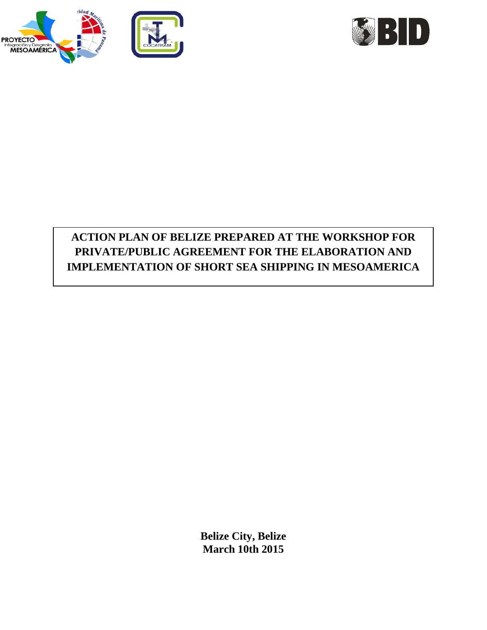



# **ACTION PLAN OF BELIZE PREPARED AT THE WORKSHOP FOR PRIVATE/PUBLIC AGREEMENT FOR THE ELABORATION AND IMPLEMENTATION OF SHORT SEA SHIPPING IN MESOAMERICA**

**Belize City, Belize March 10th 2015**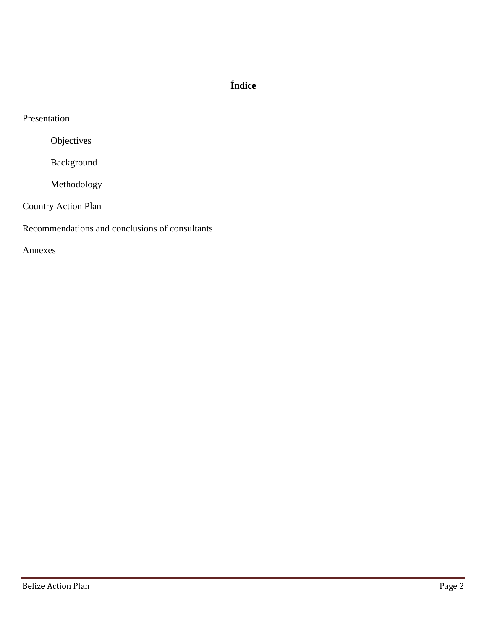# **Índice**

Objectives

Background

Methodology

Country Action Plan

Recommendations and conclusions of consultants

Annexes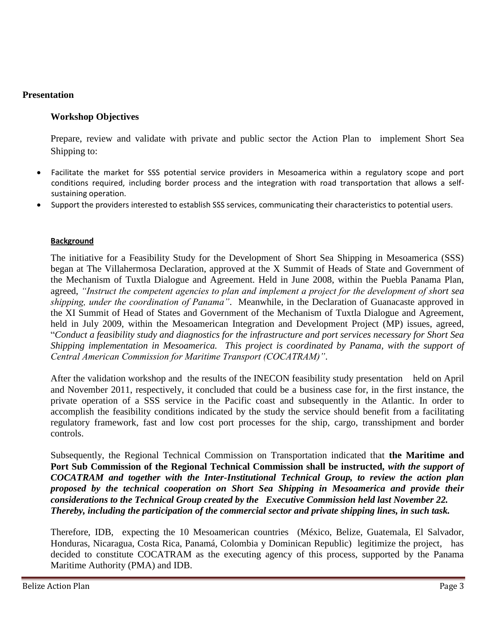### **Presentation**

### **Workshop Objectives**

Prepare, review and validate with private and public sector the Action Plan to implement Short Sea Shipping to:

- Facilitate the market for SSS potential service providers in Mesoamerica within a regulatory scope and port conditions required, including border process and the integration with road transportation that allows a selfsustaining operation.
- Support the providers interested to establish SSS services, communicating their characteristics to potential users.

#### **Background**

The initiative for a Feasibility Study for the Development of Short Sea Shipping in Mesoamerica (SSS) began at The Villahermosa Declaration, approved at the X Summit of Heads of State and Government of the Mechanism of Tuxtla Dialogue and Agreement. Held in June 2008, within the Puebla Panama Plan, agreed, *"Instruct the competent agencies to plan and implement a project for the development of short sea shipping, under the coordination of Panama"*. Meanwhile, in the Declaration of Guanacaste approved in the XI Summit of Head of States and Government of the Mechanism of Tuxtla Dialogue and Agreement, held in July 2009, within the Mesoamerican Integration and Development Project (MP) issues, agreed, "*Conduct a feasibility study and diagnostics for the infrastructure and port services necessary for Short Sea Shipping implementation in Mesoamerica. This project is coordinated by Panama, with the support of Central American Commission for Maritime Transport (COCATRAM)"*.

After the validation workshop and the results of the INECON feasibility study presentation held on April and November 2011, respectively, it concluded that could be a business case for, in the first instance, the private operation of a SSS service in the Pacific coast and subsequently in the Atlantic. In order to accomplish the feasibility conditions indicated by the study the service should benefit from a facilitating regulatory framework, fast and low cost port processes for the ship, cargo, transshipment and border controls.

Subsequently, the Regional Technical Commission on Transportation indicated that **the Maritime and Port Sub Commission of the Regional Technical Commission shall be instructed***, with the support of COCATRAM and together with the Inter-Institutional Technical Group, to review the action plan proposed by the technical cooperation on Short Sea Shipping in Mesoamerica and provide their considerations to the Technical Group created by the Executive Commission held last November 22. Thereby, including the participation of the commercial sector and private shipping lines, in such task.* 

Therefore, IDB, expecting the 10 Mesoamerican countries (México, Belize, Guatemala, El Salvador, Honduras, Nicaragua, Costa Rica, Panamá, Colombia y Dominican Republic) legitimize the project, has decided to constitute COCATRAM as the executing agency of this process, supported by the Panama Maritime Authority (PMA) and IDB.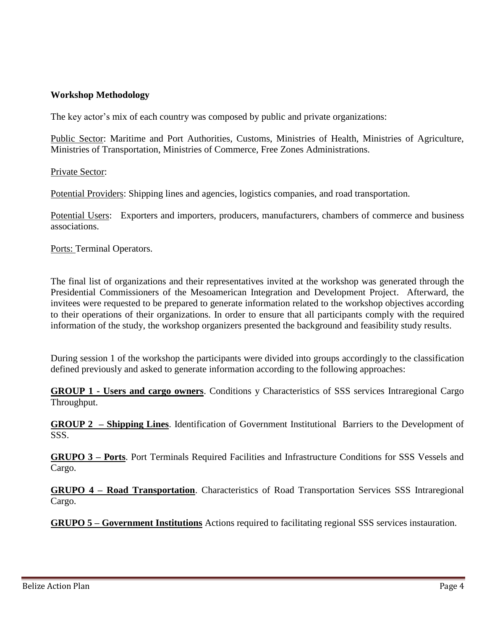## **Workshop Methodology**

The key actor's mix of each country was composed by public and private organizations:

Public Sector: Maritime and Port Authorities, Customs, Ministries of Health, Ministries of Agriculture, Ministries of Transportation, Ministries of Commerce, Free Zones Administrations.

Private Sector:

Potential Providers: Shipping lines and agencies, logistics companies, and road transportation.

Potential Users: Exporters and importers, producers, manufacturers, chambers of commerce and business associations.

Ports: Terminal Operators.

The final list of organizations and their representatives invited at the workshop was generated through the Presidential Commissioners of the Mesoamerican Integration and Development Project. Afterward, the invitees were requested to be prepared to generate information related to the workshop objectives according to their operations of their organizations. In order to ensure that all participants comply with the required information of the study, the workshop organizers presented the background and feasibility study results.

During session 1 of the workshop the participants were divided into groups accordingly to the classification defined previously and asked to generate information according to the following approaches:

**GROUP 1 - Users and cargo owners**. Conditions y Characteristics of SSS services Intraregional Cargo Throughput.

**GROUP 2 – Shipping Lines**. Identification of Government Institutional Barriers to the Development of SSS.

**GRUPO 3 – Ports**. Port Terminals Required Facilities and Infrastructure Conditions for SSS Vessels and Cargo.

**GRUPO 4 – Road Transportation**. Characteristics of Road Transportation Services SSS Intraregional Cargo.

**GRUPO 5 – Government Institutions** Actions required to facilitating regional SSS services instauration.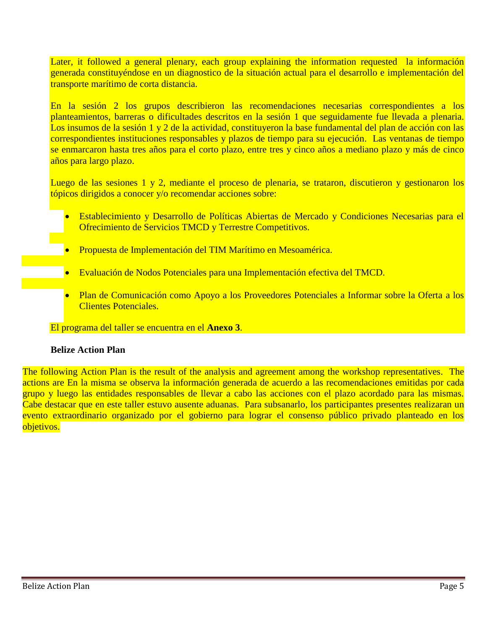Later, it followed a general plenary, each group explaining the information requested la información generada constituyéndose en un diagnostico de la situación actual para el desarrollo e implementación del transporte marítimo de corta distancia.

En la sesión 2 los grupos describieron las recomendaciones necesarias correspondientes a los planteamientos, barreras o dificultades descritos en la sesión 1 que seguidamente fue llevada a plenaria. Los insumos de la sesión 1 y 2 de la actividad, constituyeron la base fundamental del plan de acción con las correspondientes instituciones responsables y plazos de tiempo para su ejecución. Las ventanas de tiempo se enmarcaron hasta tres años para el corto plazo, entre tres y cinco años a mediano plazo y más de cinco años para largo plazo.

Luego de las sesiones 1 y 2, mediante el proceso de plenaria, se trataron, discutieron y gestionaron los tópicos dirigidos a conocer y/o recomendar acciones sobre:

- Establecimiento y Desarrollo de Políticas Abiertas de Mercado y Condiciones Necesarias para el Ofrecimiento de Servicios TMCD y Terrestre Competitivos.
- Propuesta de Implementación del TIM Marítimo en Mesoamérica.
- Evaluación de Nodos Potenciales para una Implementación efectiva del TMCD.
- Plan de Comunicación como Apoyo a los Proveedores Potenciales a Informar sobre la Oferta a los Clientes Potenciales.

El programa del taller se encuentra en el **Anexo 3**.

#### **Belize Action Plan**

The following Action Plan is the result of the analysis and agreement among the workshop representatives. The actions are En la misma se observa la información generada de acuerdo a las recomendaciones emitidas por cada grupo y luego las entidades responsables de llevar a cabo las acciones con el plazo acordado para las mismas. Cabe destacar que en este taller estuvo ausente aduanas. Para subsanarlo, los participantes presentes realizaran un evento extraordinario organizado por el gobierno para lograr el consenso público privado planteado en los objetivos.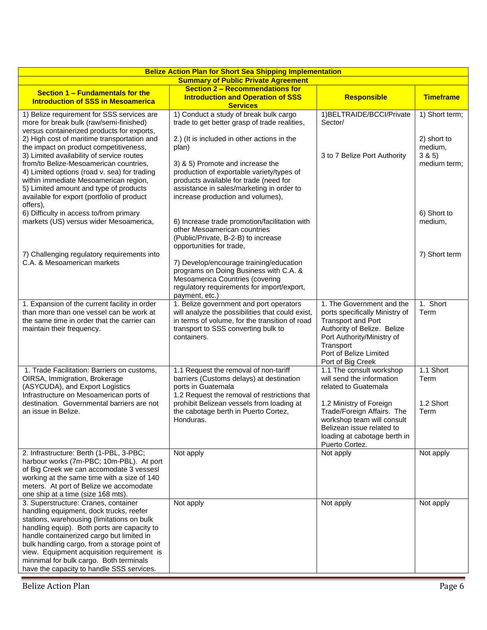| <b>Belize Action Plan for Short Sea Shipping Implementation</b><br><b>Summary of Public Private Agreement</b>                                                                                                                                                                                                                                                                                                   |                                                                                                                                                                                                           |                                                                                                                                                                                                                   |                                  |  |  |
|-----------------------------------------------------------------------------------------------------------------------------------------------------------------------------------------------------------------------------------------------------------------------------------------------------------------------------------------------------------------------------------------------------------------|-----------------------------------------------------------------------------------------------------------------------------------------------------------------------------------------------------------|-------------------------------------------------------------------------------------------------------------------------------------------------------------------------------------------------------------------|----------------------------------|--|--|
| Section 1 - Fundamentals for the                                                                                                                                                                                                                                                                                                                                                                                | Section 2 - Recommendations for                                                                                                                                                                           |                                                                                                                                                                                                                   |                                  |  |  |
| <b>Introduction of SSS in Mesoamerica</b>                                                                                                                                                                                                                                                                                                                                                                       | <b>Introduction and Operation of SSS</b><br><b>Services</b>                                                                                                                                               | <b>Responsible</b>                                                                                                                                                                                                | <b>Timeframe</b>                 |  |  |
| 1) Belize requirement for SSS services are<br>more for break bulk (raw/semi-finished)<br>versus containerized products for exports,                                                                                                                                                                                                                                                                             | 1) Conduct a study of break bulk cargo<br>trade to get better grasp of trade realities,                                                                                                                   | 1) BELTRAIDE/BCCI/Private<br>Sector/                                                                                                                                                                              | 1) Short term;                   |  |  |
| 2) High cost of maritime transportation and<br>the impact on product competitiveness,<br>3) Limited availability of service routes                                                                                                                                                                                                                                                                              | 2.) (It is included in other actions in the<br>plan)                                                                                                                                                      | 3 to 7 Belize Port Authority                                                                                                                                                                                      | 2) short to<br>medium,<br>3 & 5) |  |  |
| from/to Belize-Mesoamerican countries,<br>4) Limited options (road v. sea) for trading<br>within immediate Mesoamerican region,<br>5) Limited amount and type of products<br>available for export (portfolio of product<br>offers),                                                                                                                                                                             | 3) & 5) Promote and increase the<br>production of exportable variety/types of<br>products available for trade (need for<br>assistance in sales/marketing in order to<br>increase production and volumes), |                                                                                                                                                                                                                   | medium term;                     |  |  |
| 6) Difficulty in access to/from primary<br>markets (US) versus wider Mesoamerica,                                                                                                                                                                                                                                                                                                                               | 6) Increase trade promotion/facilitation with<br>other Mesoamerican countries<br>(Public/Private, B-2-B) to increase<br>opportunities for trade,                                                          |                                                                                                                                                                                                                   | 6) Short to<br>medium,           |  |  |
| 7) Challenging regulatory requirements into<br>C.A. & Mesoamerican markets                                                                                                                                                                                                                                                                                                                                      | 7) Develop/encourage training/education<br>programs on Doing Business with C.A. &<br>Mesoamerica Countries (covering<br>regulatory requirements for import/export,<br>payment, etc.)                      |                                                                                                                                                                                                                   | 7) Short term                    |  |  |
| 1. Expansion of the current facility in order<br>than more than one vessel can be work at<br>the same time in order that the carrier can<br>maintain their frequency.                                                                                                                                                                                                                                           | 1. Belize government and port operators<br>will analyze the possibilities that could exist,<br>in terms of volume, for the transition of road<br>transport to SSS converting bulk to<br>containers.       | 1. The Government and the<br>ports specifically Ministry of<br><b>Transport and Port</b><br>Authority of Belize. Belize<br>Port Authority/Ministry of<br>Transport<br>Port of Belize Limited<br>Port of Big Creek | 1. Short<br>Term                 |  |  |
| 1. Trade Facilitation: Barriers on customs,<br>OIRSA, Immigration, Brokerage<br>(ASYCUDA), and Export Logistics<br>Infrastructure on Mesoamerican ports of                                                                                                                                                                                                                                                      | 1.1 Request the removal of non-tariff<br>barriers (Customs delays) at destination<br>ports in Guatemala<br>1.2 Request the removal of restrictions that                                                   | 1.1 The consult workshop<br>will send the information<br>related to Guatemala                                                                                                                                     | 1.1 Short<br>Term                |  |  |
| destination. Governmental barriers are not<br>an issue in Belize.                                                                                                                                                                                                                                                                                                                                               | prohibit Belizean vessels from loading at<br>the cabotage berth in Puerto Cortez,<br>Honduras.                                                                                                            | 1.2 Ministry of Foreign<br>Trade/Foreign Affairs. The<br>workshop team will consult<br>Belizean issue related to<br>loading at cabotage berth in<br>Puerto Cortez.                                                | 1.2 Short<br>Term                |  |  |
| 2. Infrastructure: Berth (1-PBL, 3-PBC;<br>harbour works (7m-PBC; 10m-PBL). At port<br>of Big Creek we can accomodate 3 vessesl<br>working at the same time with a size of 140<br>meters. At port of Belize we accomodate<br>one ship at a time (size 168 mts).                                                                                                                                                 | Not apply                                                                                                                                                                                                 | Not apply                                                                                                                                                                                                         | Not apply                        |  |  |
| 3. Superstructure: Cranes, container<br>handling equipment, dock trucks, reefer<br>stations, warehousing (limitations on bulk<br>handling equip). Both ports are capacity to<br>handle containerized cargo but limited in<br>bulk handling cargo, from a storage point of<br>view. Equipment acquisition requirement is<br>minnimal for bulk cargo. Both terminals<br>have the capacity to handle SSS services. | Not apply                                                                                                                                                                                                 | Not apply                                                                                                                                                                                                         | Not apply                        |  |  |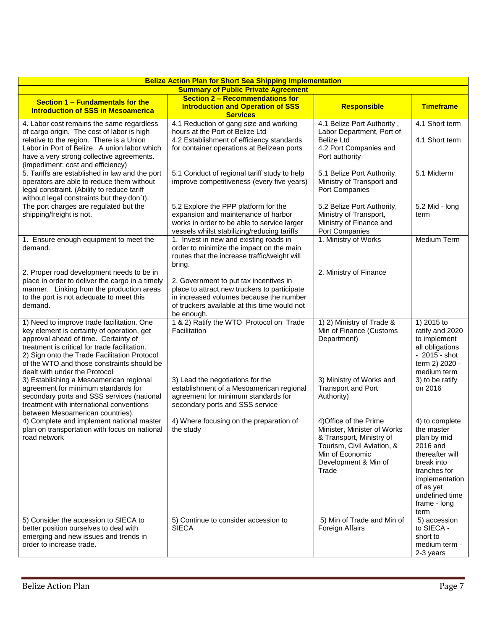| <b>Belize Action Plan for Short Sea Shipping Implementation</b>                                                                                                                                                                                                                                                                                                                                                                                                                                                                  |                                                                                                                                                                                                                                                                                                                                                                                  |                                                                                                                                                                                |                                                                                                                                                                                   |  |  |
|----------------------------------------------------------------------------------------------------------------------------------------------------------------------------------------------------------------------------------------------------------------------------------------------------------------------------------------------------------------------------------------------------------------------------------------------------------------------------------------------------------------------------------|----------------------------------------------------------------------------------------------------------------------------------------------------------------------------------------------------------------------------------------------------------------------------------------------------------------------------------------------------------------------------------|--------------------------------------------------------------------------------------------------------------------------------------------------------------------------------|-----------------------------------------------------------------------------------------------------------------------------------------------------------------------------------|--|--|
| <b>Summary of Public Private Agreement</b>                                                                                                                                                                                                                                                                                                                                                                                                                                                                                       |                                                                                                                                                                                                                                                                                                                                                                                  |                                                                                                                                                                                |                                                                                                                                                                                   |  |  |
| Section 1 - Fundamentals for the<br><b>Introduction of SSS in Mesoamerica</b>                                                                                                                                                                                                                                                                                                                                                                                                                                                    | <b>Section 2 - Recommendations for</b><br><b>Introduction and Operation of SSS</b><br><b>Services</b>                                                                                                                                                                                                                                                                            | <b>Responsible</b>                                                                                                                                                             | <b>Timeframe</b>                                                                                                                                                                  |  |  |
| 4. Labor cost remains the same regardless<br>of cargo origin. The cost of labor is high<br>relative to the region. There is a Union<br>Labor in Port of Belize. A union labor which<br>have a very strong collective agreements.<br>(impediment: cost and efficiency)                                                                                                                                                                                                                                                            | 4.1 Reduction of gang size and working<br>hours at the Port of Belize Ltd<br>4.2 Establishment of efficiency standards<br>for container operations at Belizean ports                                                                                                                                                                                                             | 4.1 Belize Port Authority,<br>Labor Department, Port of<br><b>Belize Ltd</b><br>4.2 Port Companies and<br>Port authority                                                       | 4.1 Short term<br>4.1 Short term                                                                                                                                                  |  |  |
| 5. Tariffs are established in law and the port<br>operators are able to reduce them without<br>legal constraint. (Ability to reduce tariff<br>without legal constraints but they don't).<br>The port charges are regulated but the<br>shipping/freight is not.                                                                                                                                                                                                                                                                   | 5.1 Conduct of regional tariff study to help<br>improve competitiveness (every five years)<br>5.2 Explore the PPP platform for the<br>expansion and maintenance of harbor<br>works in order to be able to service larger                                                                                                                                                         | 5.1 Belize Port Authority,<br>Ministry of Transport and<br>Port Companies<br>5.2 Belize Port Authority,<br>Ministry of Transport,<br>Ministry of Finance and<br>Port Companies | 5.1 Midterm<br>5.2 Mid - long<br>term                                                                                                                                             |  |  |
| 1. Ensure enough equipment to meet the<br>demand.<br>2. Proper road development needs to be in<br>place in order to deliver the cargo in a timely<br>manner. Linking from the production areas<br>to the port is not adequate to meet this<br>demand.                                                                                                                                                                                                                                                                            | vessels whilst stabilizing/reducing tariffs<br>1. Invest in new and existing roads in<br>order to minimize the impact on the main<br>routes that the increase traffic/weight will<br>bring.<br>2. Government to put tax incentives in<br>place to attract new truckers to participate<br>in increased volumes because the number<br>of truckers available at this time would not | 1. Ministry of Works<br>2. Ministry of Finance                                                                                                                                 | Medium Term                                                                                                                                                                       |  |  |
| 1) Need to improve trade facilitation. One<br>key element is certainty of operation, get<br>approval ahead of time. Certainty of<br>treatment is critical for trade facilitation.<br>2) Sign onto the Trade Facilitation Protocol<br>of the WTO and those constraints should be<br>dealt with under the Protocol<br>3) Establishing a Mesoamerican regional<br>agreement for minimum standards for<br>secondary ports and SSS services (national<br>treatment with international conventions<br>between Mesoamerican countries). | be enough.<br>1 & 2) Ratify the WTO Protocol on Trade<br>Facilitation<br>3) Lead the negotiations for the<br>establishment of a Mesoamerican regional<br>agreement for minimum standards for<br>secondary ports and SSS service                                                                                                                                                  | 1) 2) Ministry of Trade &<br>Min of Finance (Customs<br>Department)<br>3) Ministry of Works and<br><b>Transport and Port</b><br>Authority)                                     | 1) 2015 to<br>ratify and 2020<br>to implement<br>all obligations<br>- 2015 - shot<br>term 2) 2020 -<br>medium term<br>3) to be ratify<br>on 2016                                  |  |  |
| 4) Complete and implement national master<br>plan on transportation with focus on national<br>road network                                                                                                                                                                                                                                                                                                                                                                                                                       | 4) Where focusing on the preparation of<br>the study                                                                                                                                                                                                                                                                                                                             | 4) Office of the Prime<br>Minister, Minister of Works<br>& Transport, Ministry of<br>Tourism, Civil Aviation, &<br>Min of Economic<br>Development & Min of<br>Trade            | 4) to complete<br>the master<br>plan by mid<br>2016 and<br>thereafter will<br>break into<br>tranches for<br>implementation<br>of as yet<br>undefined time<br>frame - long<br>term |  |  |
| 5) Consider the accession to SIECA to<br>better position ourselves to deal with<br>emerging and new issues and trends in<br>order to increase trade.                                                                                                                                                                                                                                                                                                                                                                             | 5) Continue to consider accession to<br><b>SIECA</b>                                                                                                                                                                                                                                                                                                                             | 5) Min of Trade and Min of<br>Foreign Affairs                                                                                                                                  | 5) accession<br>to SIECA -<br>short to<br>medium term -<br>2-3 years                                                                                                              |  |  |